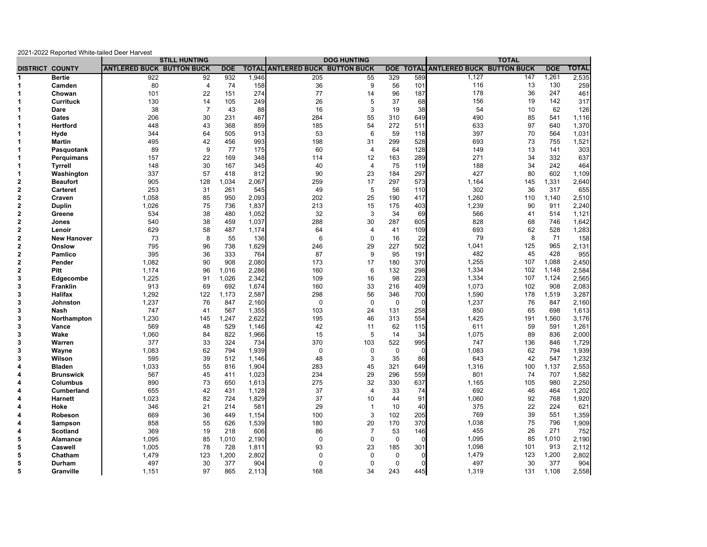| 2021-2022 Reported White-tailed Deer Harvest |                        |                                  |                      |                    |              |                                  |                |              |              |                                  |     |            |              |
|----------------------------------------------|------------------------|----------------------------------|----------------------|--------------------|--------------|----------------------------------|----------------|--------------|--------------|----------------------------------|-----|------------|--------------|
|                                              |                        |                                  | <b>STILL HUNTING</b> | <b>DOG HUNTING</b> |              |                                  |                | <b>TOTAL</b> |              |                                  |     |            |              |
|                                              | <b>DISTRICT COUNTY</b> | <b>ANTLERED BUCK BUTTON BUCK</b> |                      | <b>DOE</b>         | <b>TOTAL</b> | <b>ANTLERED BUCK BUTTON BUCK</b> |                | <b>DOE</b>   | <b>TOTAL</b> | <b>ANTLERED BUCK BUTTON BUCK</b> |     | <b>DOE</b> | <b>TOTAL</b> |
| 1                                            | <b>Bertie</b>          | 922                              | 92                   | 932                | 1,946        | 205                              | 55             | 329          | 589          | 1,127                            | 147 | 1,261      | 2,535        |
| 1<br>$\mathbf 1$                             | Camden                 | 80                               | $\overline{4}$       | 74                 | 158          | 36                               | 9              | 56           | 101          | 116                              | 13  | 130        | 259          |
|                                              | Chowan                 | 101                              | 22                   | 151                | 274          | 77                               | 14             | 96           | 187          | 178                              | 36  | 247        | 461          |
|                                              | <b>Currituck</b>       | 130                              | 14                   | 105                | 249          | 26                               | 5              | 37           | 68           | 156                              | 19  | 142        | 317          |
|                                              | Dare                   | 38                               | $\overline{7}$       | 43                 | 88           | 16                               | 3              | 19           | 38           | 54                               | 10  | 62         | 126          |
|                                              | Gates                  | 206                              | 30                   | 231                | 467          | 284                              | 55             | 310          | 649          | 490                              | 85  | 541        | 1,116        |
|                                              | <b>Hertford</b>        | 448                              | 43                   | 368                | 859          | 185                              | 54             | 272          | 511          | 633                              | 97  | 640        | 1,370        |
|                                              | Hyde                   | 344                              | 64                   | 505                | 913          | 53                               | 6              | 59           | 118          | 397                              | 70  | 564        | 1,031        |
|                                              | <b>Martin</b>          | 495                              | 42                   | 456                | 993          | 198                              | 31             | 299          | 528          | 693                              | 73  | 755        | 1,521        |
|                                              | Pasquotank             | 89                               | 9                    | 77                 | 175          | 60                               | 4              | 64           | 128          | 149                              | 13  | 141        | 303          |
|                                              | Perquimans             | 157                              | 22                   | 169                | 348          | 114                              | 12             | 163          | 289          | 271                              | 34  | 332        | 637          |
|                                              | <b>Tyrrell</b>         | 148                              | 30                   | 167                | 345          | 40                               | $\overline{4}$ | 75           | 119          | 188                              | 34  | 242        | 464          |
|                                              | Washington             | 337                              | 57                   | 418                | 812          | 90                               | 23             | 184          | 297          | 427                              | 80  | 602        | 1,109        |
|                                              | <b>Beaufort</b>        | 905                              | 128                  | 1,034              | 2,067        | 259                              | 17             | 297          | 573          | 1,164                            | 145 | 1,331      | 2,640        |
|                                              | Carteret               | 253                              | 31                   | 261                | 545          | 49                               | 5              | 56           | 110          | 302                              | 36  | 317        | 655          |
|                                              | Craven                 | 1,058                            | 85                   | 950                | 2,093        | 202                              | 25             | 190          | 417          | 1,260                            | 110 | 1,140      | 2,510        |
|                                              | <b>Duplin</b>          | 1,026                            | 75                   | 736                | 1,837        | 213                              | 15             | 175          | 403          | 1,239                            | 90  | 911        | 2,240        |
|                                              | Greene                 | 534                              | 38                   | 480                | 1,052        | 32                               | 3              | 34           | 69           | 566                              | 41  | 514        | 1,121        |
|                                              | Jones                  | 540                              | 38                   | 459                | 1,037        | 288                              | 30             | 287          | 605          | 828                              | 68  | 746        | 1,642        |
|                                              | Lenoir                 | 629                              | 58                   | 487                | 1,174        | 64                               | $\overline{4}$ | 41           | 109          | 693                              | 62  | 528        | 1,283        |
|                                              | <b>New Hanover</b>     | 73                               | 8                    | 55                 | 136          | 6                                | 0              | 16           | 22           | 79                               | 8   | 71         | 158          |
|                                              | Onslow                 | 795                              | 96                   | 738                | 1,629        | 246                              | 29             | 227          | 502          | 1,041                            | 125 | 965        | 2,131        |
|                                              | Pamlico                | 395                              | 36                   | 333                | 764          | 87                               | 9              | 95           | 191          | 482                              | 45  | 428        | 955          |
|                                              | Pender                 | 1,082                            | 90                   | 908                | 2,080        | 173                              | 17             | 180          | 370          | 1,255                            | 107 | 1,088      | 2,450        |
|                                              | <b>Pitt</b>            | 1,174                            | 96                   | 1.016              | 2,286        | 160                              | 6              | 132          | 298          | 1,334                            | 102 | 1,148      | 2,584        |
|                                              | Edgecombe              | 1,225                            | 91                   | 1,026              | 2,342        | 109                              | 16             | 98           | 223          | 1,334                            | 107 | 1,124      | 2,565        |
|                                              | Franklin               | 913                              | 69                   | 692                | 1,674        | 160                              | 33             | 216          | 409          | 1,073                            | 102 | 908        | 2,083        |
|                                              | <b>Halifax</b>         | 1,292                            | 122                  | 1.173              | 2,587        | 298                              | 56             | 346          | 700          | 1,590                            | 178 | 1,519      | 3,287        |
|                                              | <b>Johnston</b>        | 1,237                            | 76                   | 847                | 2,160        | $\mathbf 0$                      | $\mathbf 0$    | 0            | $\mathbf 0$  | 1,237                            | 76  | 847        | 2,160        |
|                                              | Nash                   | 747                              | 41                   | 567                | 1,355        | 103                              | 24             | 131          | 258          | 850                              | 65  | 698        | 1,613        |
|                                              | Northampton            | 1,230                            | 145                  | 1,247              | 2,622        | 195                              | 46             | 313          | 554          | 1,425                            | 191 | 1,560      | 3,176        |
|                                              | Vance                  | 569                              | 48                   | 529                | 1,146        | 42                               | 11             | 62           | 115          | 611                              | 59  | 591        | 1,261        |
|                                              | Wake                   | 1,060                            | 84                   | 822                | 1,966        | 15                               | 5              | 14           | 34           | 1,075                            | 89  | 836        | 2,000        |
|                                              | Warren                 | 377                              | 33                   | 324                | 734          | 370                              | 103            | 522          | 995          | 747                              | 136 | 846        | 1,729        |
|                                              | Wayne                  | 1,083                            | 62                   | 794                | 1,939        | $\mathbf 0$                      | $\mathbf 0$    | $\mathbf 0$  | $\mathbf 0$  | 1,083                            | 62  | 794        | 1,939        |
|                                              | Wilson                 | 595                              | 39                   | 512                | 1,146        | 48                               | 3              | 35           | 86           | 643                              | 42  | 547        | 1,232        |
|                                              | <b>Bladen</b>          | 1,033                            | 55                   | 816                | 1,904        | 283                              | 45             | 321          | 649          | 1,316                            | 100 | 1,137      | 2,553        |
|                                              | <b>Brunswick</b>       | 567                              | 45                   | 411                | 1,023        | 234                              | 29             | 296          | 559          | 801                              | 74  | 707        | 1,582        |
|                                              | Columbus               | 890                              | 73                   | 650                | 1,613        | 275                              | 32             | 330          | 637          | 1,165                            | 105 | 980        | 2,250        |
|                                              | <b>Cumberland</b>      | 655                              | 42                   | 431                | 1,128        | 37                               | $\overline{4}$ | 33           | 74           | 692                              | 46  | 464        | 1,202        |
|                                              | <b>Harnett</b>         | 1,023                            | 82                   | 724                | 1,829        | 37                               | 10             | 44           | 91           | 1,060                            | 92  | 768        | 1,920        |
|                                              | Hoke                   | 346                              | 21                   | 214                | 581          | 29                               | $\overline{1}$ | 10           | 40           | 375                              | 22  | 224        | 621          |
|                                              | Robeson                | 669                              | 36                   | 449                | 1,154        | 100                              | 3              | 102          | 205          | 769                              | 39  | 551        | 1,359        |
|                                              | Sampson                | 858                              | 55                   | 626                | 1,539        | 180                              | 20             | 170          | 370          | 1,038                            | 75  | 796        | 1,909        |
|                                              | <b>Scotland</b>        | 369                              | 19                   | 218                | 606          | 86                               | $\overline{7}$ | 53           | 146          | 455                              | 26  | 271        | 752          |
|                                              | Alamance               | 1,095                            | 85                   | 1,010              | 2,190        | $\mathbf 0$                      | $\mathbf 0$    | $\mathbf 0$  | $\Omega$     | 1,095                            | 85  | 1,010      | 2,190        |
|                                              | Caswell                | 1,005                            | 78                   | 728                | 1,811        | 93                               | 23             | 185          | 301          | 1,098                            | 101 | 913        | 2,112        |
|                                              | Chatham                | 1,479                            | 123                  | 1,200              | 2,802        | $\mathbf 0$                      | $\mathbf 0$    | $\mathbf 0$  | $\Omega$     | 1,479                            | 123 | 1,200      | 2,802        |
|                                              | Durham                 | 497                              | 30                   | 377                | 904          | $\Omega$                         | $\mathbf 0$    | $\mathbf 0$  | $\Omega$     | 497                              | 30  | 377        | 904          |
|                                              | Granville              | 1,151                            | 97                   | 865                | 2,113        | 168                              | 34             | 243          | 445          | 1,319                            | 131 | 1,108      | 2,558        |